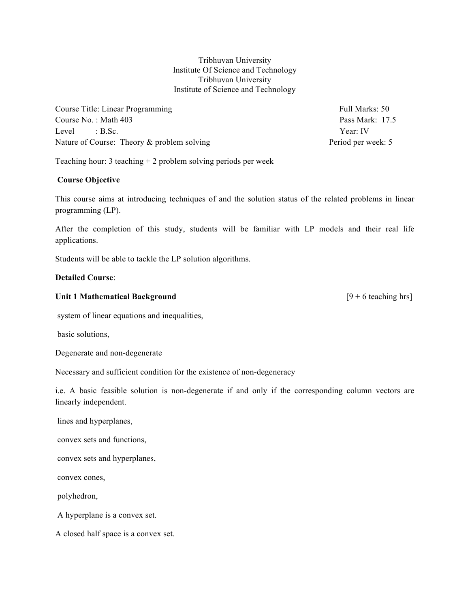Tribhuvan University Institute Of Science and Technology Tribhuvan University Institute of Science and Technology

Course Title: Linear Programming Full Marks: 50 Course No.: Math 403 **Pass Mark: 17.5** Pass Mark: 17.5 Level : B.Sc. Year: IV Nature of Course: Theory & problem solving Period per week: 5

Teaching hour: 3 teaching + 2 problem solving periods per week

#### **Course Objective**

This course aims at introducing techniques of and the solution status of the related problems in linear programming (LP).

After the completion of this study, students will be familiar with LP models and their real life applications.

Students will be able to tackle the LP solution algorithms.

#### **Detailed Course**:

#### Unit 1 Mathematical Background<br>
[9 + 6 teaching hrs]

system of linear equations and inequalities,

basic solutions,

Degenerate and non-degenerate

Necessary and sufficient condition for the existence of non-degeneracy

i.e. A basic feasible solution is non-degenerate if and only if the corresponding column vectors are linearly independent.

lines and hyperplanes,

convex sets and functions,

convex sets and hyperplanes,

convex cones,

polyhedron,

A hyperplane is a convex set.

A closed half space is a convex set.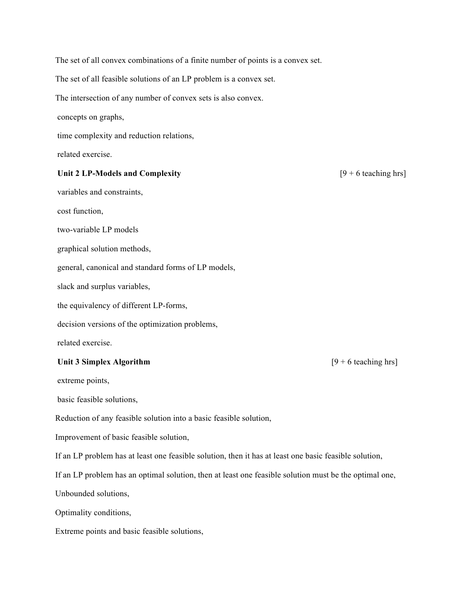The set of all convex combinations of a finite number of points is a convex set. The set of all feasible solutions of an LP problem is a convex set. The intersection of any number of convex sets is also convex. concepts on graphs, time complexity and reduction relations, related exercise. Unit 2 LP-Models and Complexity [9 + 6 teaching hrs] variables and constraints, cost function, two-variable LP models graphical solution methods, general, canonical and standard forms of LP models, slack and surplus variables, the equivalency of different LP-forms, decision versions of the optimization problems, related exercise. Unit 3 Simplex Algorithm **and Simplex Algorithm [9 + 6 teaching hrs]** extreme points, basic feasible solutions, Reduction of any feasible solution into a basic feasible solution, Improvement of basic feasible solution, If an LP problem has at least one feasible solution, then it has at least one basic feasible solution, If an LP problem has an optimal solution, then at least one feasible solution must be the optimal one, Unbounded solutions, Optimality conditions, Extreme points and basic feasible solutions,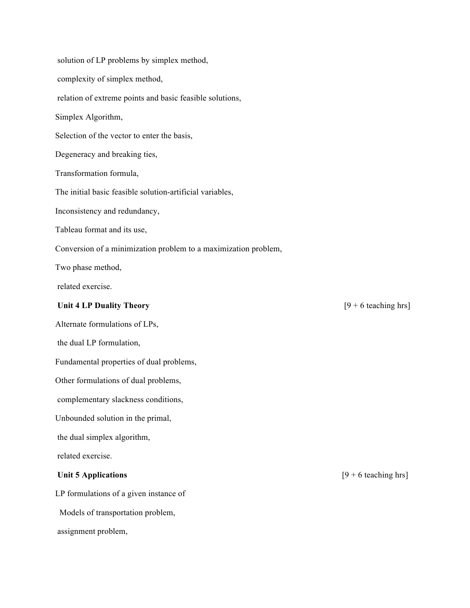| solution of LP problems by simplex method,                      |                        |
|-----------------------------------------------------------------|------------------------|
| complexity of simplex method,                                   |                        |
| relation of extreme points and basic feasible solutions,        |                        |
| Simplex Algorithm,                                              |                        |
| Selection of the vector to enter the basis,                     |                        |
| Degeneracy and breaking ties,                                   |                        |
| Transformation formula,                                         |                        |
| The initial basic feasible solution-artificial variables,       |                        |
| Inconsistency and redundancy,                                   |                        |
| Tableau format and its use,                                     |                        |
| Conversion of a minimization problem to a maximization problem, |                        |
| Two phase method,                                               |                        |
| related exercise.                                               |                        |
| <b>Unit 4 LP Duality Theory</b>                                 | $[9 + 6$ teaching hrs] |
| Alternate formulations of LPs,                                  |                        |
| the dual LP formulation,                                        |                        |
| Fundamental properties of dual problems,                        |                        |
| Other formulations of dual problems,                            |                        |
| complementary slackness conditions,                             |                        |
| Unbounded solution in the primal,                               |                        |
| the dual simplex algorithm,                                     |                        |
| related exercise.                                               |                        |
| <b>Unit 5 Applications</b>                                      | $[9 + 6$ teaching hrs] |
| LP formulations of a given instance of                          |                        |
| Models of transportation problem,                               |                        |

assignment problem,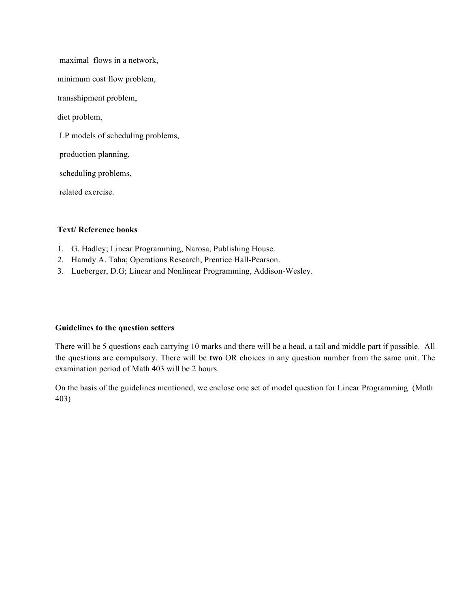maximal flows in a network, minimum cost flow problem, transshipment problem, diet problem, LP models of scheduling problems, production planning, scheduling problems, related exercise.

### **Text/ Reference books**

- 1. G. Hadley; Linear Programming, Narosa, Publishing House.
- 2. Hamdy A. Taha; Operations Research, Prentice Hall-Pearson.
- 3. Lueberger, D.G; Linear and Nonlinear Programming, Addison-Wesley.

#### **Guidelines to the question setters**

There will be 5 questions each carrying 10 marks and there will be a head, a tail and middle part if possible. All the questions are compulsory. There will be **two** OR choices in any question number from the same unit. The examination period of Math 403 will be 2 hours.

On the basis of the guidelines mentioned, we enclose one set of model question for Linear Programming (Math 403)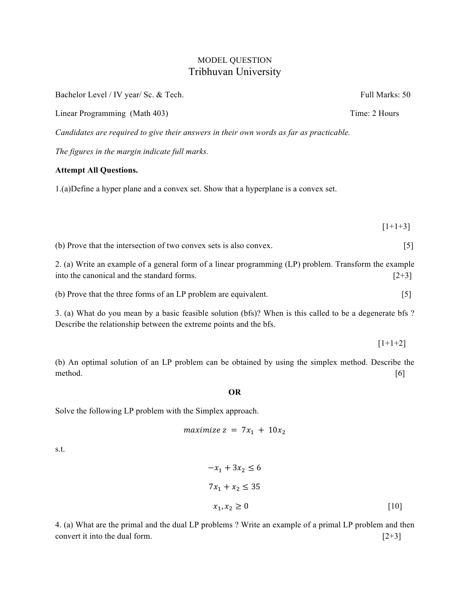## MODEL QUESTION Tribhuvan University

| Bachelor Level / IV year/ Sc. & Tech.                                                                                                                                        | Full Marks: 50   |
|------------------------------------------------------------------------------------------------------------------------------------------------------------------------------|------------------|
| Linear Programming (Math 403)                                                                                                                                                | Time: 2 Hours    |
| Candidates are required to give their answers in their own words as far as practicable.                                                                                      |                  |
| The figures in the margin indicate full marks.                                                                                                                               |                  |
| <b>Attempt All Questions.</b>                                                                                                                                                |                  |
| 1.(a) Define a hyper plane and a convex set. Show that a hyperplane is a convex set.                                                                                         |                  |
|                                                                                                                                                                              |                  |
|                                                                                                                                                                              | $[1+1+3]$        |
| (b) Prove that the intersection of two convex sets is also convex.                                                                                                           | $\left[5\right]$ |
| 2. (a) Write an example of a general form of a linear programming (LP) problem. Transform the example<br>into the canonical and the standard forms.                          | $[2+3]$          |
| (b) Prove that the three forms of an LP problem are equivalent.                                                                                                              | $[5]$            |
| 3. (a) What do you mean by a basic feasible solution (bfs)? When is this called to be a degenerate bfs?<br>Describe the relationship between the extreme points and the bfs. |                  |
|                                                                                                                                                                              | $[1+1+2]$        |
| (b) An optimal solution of an LP problem can be obtained by using the simplex method. Describe the                                                                           |                  |

#### **OR**

method. [6]

Solve the following LP problem with the Simplex approach.

$$
maximize z = 7x_1 + 10x_2
$$

s.t.

$$
-x_1 + 3x_2 \le 6
$$
  

$$
7x_1 + x_2 \le 35
$$
  

$$
x_1, x_2 \ge 0
$$
 [10]

4. (a) What are the primal and the dual LP problems ? Write an example of a primal LP problem and then convert it into the dual form.  $[2+3]$